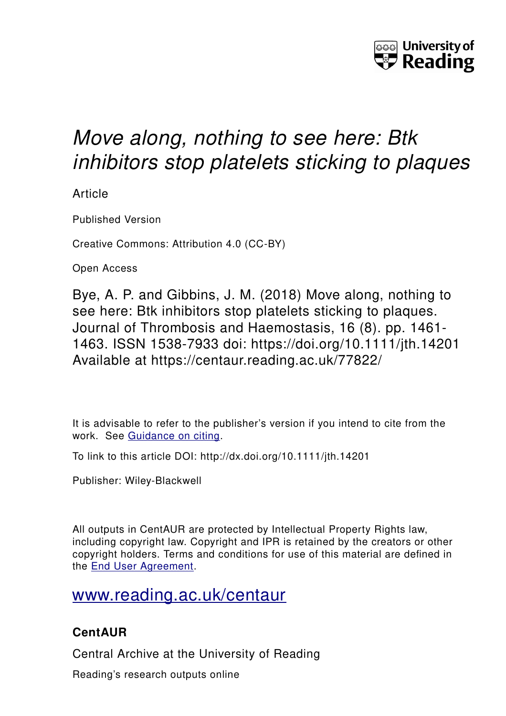

# *Move along, nothing to see here: Btk inhibitors stop platelets sticking to plaques*

Article

Published Version

Creative Commons: Attribution 4.0 (CC-BY)

Open Access

Bye, A. P. and Gibbins, J. M. (2018) Move along, nothing to see here: Btk inhibitors stop platelets sticking to plaques. Journal of Thrombosis and Haemostasis, 16 (8). pp. 1461- 1463. ISSN 1538-7933 doi: https://doi.org/10.1111/jth.14201 Available at https://centaur.reading.ac.uk/77822/

It is advisable to refer to the publisher's version if you intend to cite from the work. See [Guidance on citing.](http://centaur.reading.ac.uk/71187/10/CentAUR%20citing%20guide.pdf)

To link to this article DOI: http://dx.doi.org/10.1111/jth.14201

Publisher: Wiley-Blackwell

All outputs in CentAUR are protected by Intellectual Property Rights law, including copyright law. Copyright and IPR is retained by the creators or other copyright holders. Terms and conditions for use of this material are defined in the [End User Agreement.](http://centaur.reading.ac.uk/licence)

## [www.reading.ac.uk/centaur](http://www.reading.ac.uk/centaur)

### **CentAUR**

Central Archive at the University of Reading

Reading's research outputs online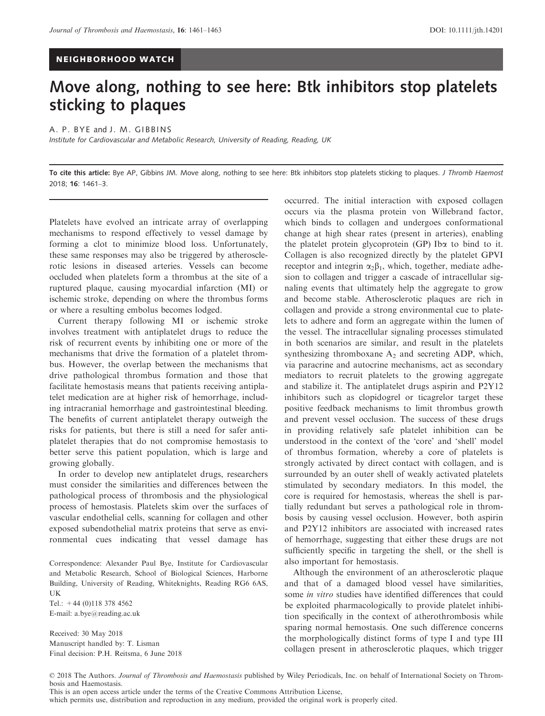### NEIGHBORHOOD WATCH

### Move along, nothing to see here: Btk inhibitors stop platelets sticking to plaques

#### A. P. BYE and J. M. GIBBINS

Institute for Cardiovascular and Metabolic Research, University of Reading, Reading, UK

To cite this article: Bye AP, Gibbins JM. Move along, nothing to see here: Btk inhibitors stop platelets sticking to plaques. J Thromb Haemost 2018; 16: 1461–3.

Platelets have evolved an intricate array of overlapping mechanisms to respond effectively to vessel damage by forming a clot to minimize blood loss. Unfortunately, these same responses may also be triggered by atherosclerotic lesions in diseased arteries. Vessels can become occluded when platelets form a thrombus at the site of a ruptured plaque, causing myocardial infarction (MI) or ischemic stroke, depending on where the thrombus forms or where a resulting embolus becomes lodged.

Current therapy following MI or ischemic stroke involves treatment with antiplatelet drugs to reduce the risk of recurrent events by inhibiting one or more of the mechanisms that drive the formation of a platelet thrombus. However, the overlap between the mechanisms that drive pathological thrombus formation and those that facilitate hemostasis means that patients receiving antiplatelet medication are at higher risk of hemorrhage, including intracranial hemorrhage and gastrointestinal bleeding. The benefits of current antiplatelet therapy outweigh the risks for patients, but there is still a need for safer antiplatelet therapies that do not compromise hemostasis to better serve this patient population, which is large and growing globally.

In order to develop new antiplatelet drugs, researchers must consider the similarities and differences between the pathological process of thrombosis and the physiological process of hemostasis. Platelets skim over the surfaces of vascular endothelial cells, scanning for collagen and other exposed subendothelial matrix proteins that serve as environmental cues indicating that vessel damage has

Correspondence: Alexander Paul Bye, Institute for Cardiovascular and Metabolic Research, School of Biological Sciences, Harborne Building, University of Reading, Whiteknights, Reading RG6 6AS, UK

Tel.:  $+44$  (0)118 378 4562 E-mail: a.bye@reading.ac.uk

Received: 30 May 2018 Manuscript handled by: T. Lisman Final decision: P.H. Reitsma, 6 June 2018 occurred. The initial interaction with exposed collagen occurs via the plasma protein von Willebrand factor, which binds to collagen and undergoes conformational change at high shear rates (present in arteries), enabling the platelet protein glycoprotein (GP) Iba to bind to it. Collagen is also recognized directly by the platelet GPVI receptor and integrin  $\alpha_2\beta_1$ , which, together, mediate adhesion to collagen and trigger a cascade of intracellular signaling events that ultimately help the aggregate to grow and become stable. Atherosclerotic plaques are rich in collagen and provide a strong environmental cue to platelets to adhere and form an aggregate within the lumen of the vessel. The intracellular signaling processes stimulated in both scenarios are similar, and result in the platelets synthesizing thromboxane  $A_2$  and secreting ADP, which, via paracrine and autocrine mechanisms, act as secondary mediators to recruit platelets to the growing aggregate and stabilize it. The antiplatelet drugs aspirin and P2Y12 inhibitors such as clopidogrel or ticagrelor target these positive feedback mechanisms to limit thrombus growth and prevent vessel occlusion. The success of these drugs in providing relatively safe platelet inhibition can be understood in the context of the 'core' and 'shell' model of thrombus formation, whereby a core of platelets is strongly activated by direct contact with collagen, and is surrounded by an outer shell of weakly activated platelets stimulated by secondary mediators. In this model, the core is required for hemostasis, whereas the shell is partially redundant but serves a pathological role in thrombosis by causing vessel occlusion. However, both aspirin and P2Y12 inhibitors are associated with increased rates of hemorrhage, suggesting that either these drugs are not sufficiently specific in targeting the shell, or the shell is also important for hemostasis.

Although the environment of an atherosclerotic plaque and that of a damaged blood vessel have similarities, some in vitro studies have identified differences that could be exploited pharmacologically to provide platelet inhibition specifically in the context of atherothrombosis while sparing normal hemostasis. One such difference concerns the morphologically distinct forms of type I and type III collagen present in atherosclerotic plaques, which trigger

This is an open access article under the terms of the [Creative Commons Attribution](http://creativecommons.org/licenses/by/4.0/) License,

which permits use, distribution and reproduction in any medium, provided the original work is properly cited.

<sup>© 2018</sup> The Authors. Journal of Thrombosis and Haemostasis published by Wiley Periodicals, Inc. on behalf of International Society on Thrombosis and Haemostasis.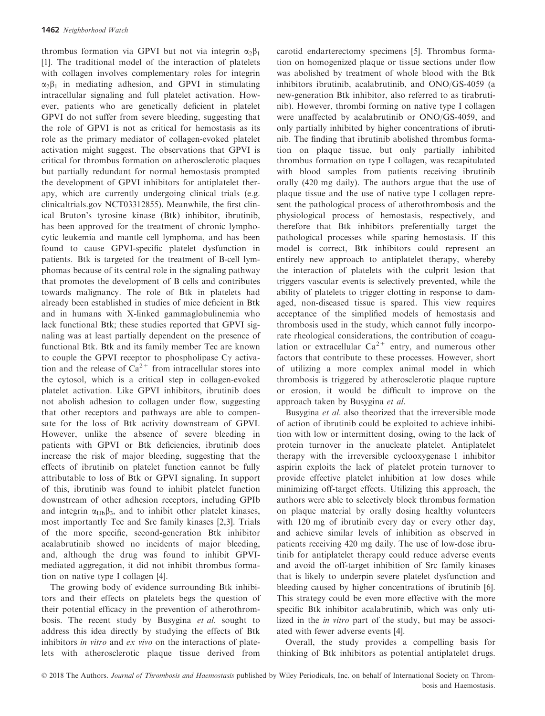thrombus formation via GPVI but not via integrin  $\alpha_2\beta_1$ [1]. The traditional model of the interaction of platelets with collagen involves complementary roles for integrin  $\alpha_2\beta_1$  in mediating adhesion, and GPVI in stimulating intracellular signaling and full platelet activation. However, patients who are genetically deficient in platelet GPVI do not suffer from severe bleeding, suggesting that the role of GPVI is not as critical for hemostasis as its role as the primary mediator of collagen-evoked platelet activation might suggest. The observations that GPVI is critical for thrombus formation on atherosclerotic plaques but partially redundant for normal hemostasis prompted the development of GPVI inhibitors for antiplatelet therapy, which are currently undergoing clinical trials (e.g. clinicaltrials.gov NCT03312855). Meanwhile, the first clinical Bruton's tyrosine kinase (Btk) inhibitor, ibrutinib, has been approved for the treatment of chronic lymphocytic leukemia and mantle cell lymphoma, and has been found to cause GPVI-specific platelet dysfunction in patients. Btk is targeted for the treatment of B-cell lymphomas because of its central role in the signaling pathway that promotes the development of B cells and contributes towards malignancy. The role of Btk in platelets had already been established in studies of mice deficient in Btk and in humans with X-linked gammaglobulinemia who lack functional Btk; these studies reported that GPVI signaling was at least partially dependent on the presence of functional Btk. Btk and its family member Tec are known to couple the GPVI receptor to phospholipase  $C\gamma$  activation and the release of  $Ca^{2+}$  from intracellular stores into the cytosol, which is a critical step in collagen-evoked platelet activation. Like GPVI inhibitors, ibrutinib does not abolish adhesion to collagen under flow, suggesting that other receptors and pathways are able to compensate for the loss of Btk activity downstream of GPVI. However, unlike the absence of severe bleeding in patients with GPVI or Btk deficiencies, ibrutinib does increase the risk of major bleeding, suggesting that the effects of ibrutinib on platelet function cannot be fully attributable to loss of Btk or GPVI signaling. In support of this, ibrutinib was found to inhibit platelet function downstream of other adhesion receptors, including GPIb and integrin  $\alpha_{\text{IIb}}\beta_3$ , and to inhibit other platelet kinases, most importantly Tec and Src family kinases [2,3]. Trials of the more specific, second-generation Btk inhibitor acalabrutinib showed no incidents of major bleeding, and, although the drug was found to inhibit GPVImediated aggregation, it did not inhibit thrombus formation on native type I collagen [4].

The growing body of evidence surrounding Btk inhibitors and their effects on platelets begs the question of their potential efficacy in the prevention of atherothrombosis. The recent study by Busygina et al. sought to address this idea directly by studying the effects of Btk inhibitors in vitro and ex vivo on the interactions of platelets with atherosclerotic plaque tissue derived from carotid endarterectomy specimens [5]. Thrombus formation on homogenized plaque or tissue sections under flow was abolished by treatment of whole blood with the Btk inhibitors ibrutinib, acalabrutinib, and ONO/GS-4059 (a new-generation Btk inhibitor, also referred to as tirabrutinib). However, thrombi forming on native type I collagen were unaffected by acalabrutinib or ONO/GS-4059, and only partially inhibited by higher concentrations of ibrutinib. The finding that ibrutinib abolished thrombus formation on plaque tissue, but only partially inhibited thrombus formation on type I collagen, was recapitulated with blood samples from patients receiving ibrutinib orally (420 mg daily). The authors argue that the use of plaque tissue and the use of native type I collagen represent the pathological process of atherothrombosis and the physiological process of hemostasis, respectively, and therefore that Btk inhibitors preferentially target the pathological processes while sparing hemostasis. If this model is correct, Btk inhibitors could represent an entirely new approach to antiplatelet therapy, whereby the interaction of platelets with the culprit lesion that triggers vascular events is selectively prevented, while the ability of platelets to trigger clotting in response to damaged, non-diseased tissue is spared. This view requires acceptance of the simplified models of hemostasis and thrombosis used in the study, which cannot fully incorporate rheological considerations, the contribution of coagulation or extracellular  $Ca^{2+}$  entry, and numerous other factors that contribute to these processes. However, short of utilizing a more complex animal model in which thrombosis is triggered by atherosclerotic plaque rupture or erosion, it would be difficult to improve on the approach taken by Busygina et al.

Busygina *et al.* also theorized that the irreversible mode of action of ibrutinib could be exploited to achieve inhibition with low or intermittent dosing, owing to the lack of protein turnover in the anucleate platelet. Antiplatelet therapy with the irreversible cyclooxygenase 1 inhibitor aspirin exploits the lack of platelet protein turnover to provide effective platelet inhibition at low doses while minimizing off-target effects. Utilizing this approach, the authors were able to selectively block thrombus formation on plaque material by orally dosing healthy volunteers with 120 mg of ibrutinib every day or every other day, and achieve similar levels of inhibition as observed in patients receiving 420 mg daily. The use of low-dose ibrutinib for antiplatelet therapy could reduce adverse events and avoid the off-target inhibition of Src family kinases that is likely to underpin severe platelet dysfunction and bleeding caused by higher concentrations of ibrutinib [6]. This strategy could be even more effective with the more specific Btk inhibitor acalabrutinib, which was only utilized in the in vitro part of the study, but may be associated with fewer adverse events [4].

Overall, the study provides a compelling basis for thinking of Btk inhibitors as potential antiplatelet drugs.